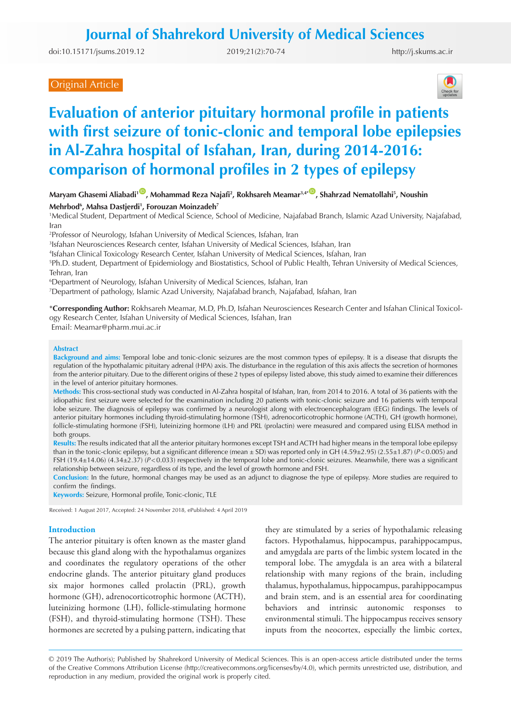doi:[10.15171/jsums.2019.12](https://doi.org/10.15171/jsums.2019.12 ) 2019;21(2):70-74

<http://j.skums.ac.ir>

# Original Article



# **Evaluation of anterior pituitary hormonal profile in patients with first seizure of tonic-clonic and temporal lobe epilepsies in Al-Zahra hospital of Isfahan, Iran, during 2014-2016: comparison of hormonal profiles in 2 types of epilepsy**

Maryam Ghasemi Aliabadi<sup>1 (D</sup>), Mohammad Reza Najafi<sup>2</sup>, Rokhsareh Meamar<sup>3,4\*</sup> (D), Shahrzad Nematollahi<sup>5</sup>, Noushin

## **Mehrbod6 , Mahsa Dastjerdi1 , Forouzan Moinzadeh7**

1 Medical Student, Department of Medical Science, School of Medicine, Najafabad Branch, Islamic Azad University, Najafabad, Iran

2 Professor of Neurology, Isfahan University of Medical Sciences, Isfahan, Iran

3 Isfahan Neurosciences Research center, Isfahan University of Medical Sciences, Isfahan, Iran

4 Isfahan Clinical Toxicology Research Center, Isfahan University of Medical Sciences, Isfahan, Iran

5 Ph.D. student, Department of Epidemiology and Biostatistics, School of Public Health, Tehran University of Medical Sciences, Tehran, Iran

6 Department of Neurology, Isfahan University of Medical Sciences, Isfahan, Iran

7 Department of pathology, Islamic Azad University, Najafabad branch, Najafabad, Isfahan, Iran

\***Corresponding Author:** Rokhsareh Meamar, M.D, Ph.D, Isfahan Neurosciences Research Center and Isfahan Clinical Toxicology Research Center, Isfahan University of Medical Sciences, Isfahan, Iran

Email: Meamar@pharm.mui.ac.ir

#### **Abstract**

**Background and aims:** Temporal lobe and tonic-clonic seizures are the most common types of epilepsy. It is a disease that disrupts the regulation of the hypothalamic pituitary adrenal (HPA) axis. The disturbance in the regulation of this axis affects the secretion of hormones from the anterior pituitary. Due to the different origins of these 2 types of epilepsy listed above, this study aimed to examine their differences in the level of anterior pituitary hormones.

**Methods:** This cross-sectional study was conducted in Al-Zahra hospital of Isfahan, Iran, from 2014 to 2016. A total of 36 patients with the idiopathic first seizure were selected for the examination including 20 patients with tonic-clonic seizure and 16 patients with temporal lobe seizure. The diagnosis of epilepsy was confirmed by a neurologist along with electroencephalogram (EEG) findings. The levels of anterior pituitary hormones including thyroid-stimulating hormone (TSH), adrenocorticotrophic hormone (ACTH), GH (growth hormone), follicle-stimulating hormone (FSH), luteinizing hormone (LH) and PRL (prolactin) were measured and compared using ELISA method in both groups.

**Results:** The results indicated that all the anterior pituitary hormones except TSH and ACTH had higher means in the temporal lobe epilepsy than in the tonic-clonic epilepsy, but a significant difference (mean ± SD) was reported only in GH (4.59±2.95) (2.55±1.87) (*P*<0.005) and FSH (19.4±14.06) (4.34±2.37) (*P*<0.033) respectively in the temporal lobe and tonic-clonic seizures. Meanwhile, there was a significant relationship between seizure, regardless of its type, and the level of growth hormone and FSH.

**Conclusion:** In the future, hormonal changes may be used as an adjunct to diagnose the type of epilepsy. More studies are required to confirm the findings.

**Keywords:** Seizure, Hormonal profile, Tonic-clonic, TLE

Received: 1 August 2017, Accepted: 24 November 2018, ePublished: 4 April 2019

## **Introduction**

The anterior pituitary is often known as the master gland because this gland along with the hypothalamus organizes and coordinates the regulatory operations of the other endocrine glands. The anterior pituitary gland produces six major hormones called prolactin (PRL), growth hormone (GH), adrenocorticotrophic hormone (ACTH), luteinizing hormone (LH), follicle-stimulating hormone (FSH), and thyroid-stimulating hormone (TSH). These hormones are secreted by a pulsing pattern, indicating that

they are stimulated by a series of hypothalamic releasing factors. Hypothalamus, hippocampus, parahippocampus, and amygdala are parts of the limbic system located in the temporal lobe. The amygdala is an area with a bilateral relationship with many regions of the brain, including thalamus, hypothalamus, hippocampus, parahippocampus and brain stem, and is an essential area for coordinating behaviors and intrinsic autonomic responses to environmental stimuli. The hippocampus receives sensory inputs from the neocortex, especially the limbic cortex,

© 2019 The Author(s); Published by Shahrekord University of Medical Sciences. This is an open-access article distributed under the terms of the Creative Commons Attribution License (http://creativecommons.org/licenses/by/4.0), which permits unrestricted use, distribution, and reproduction in any medium, provided the original work is properly cited.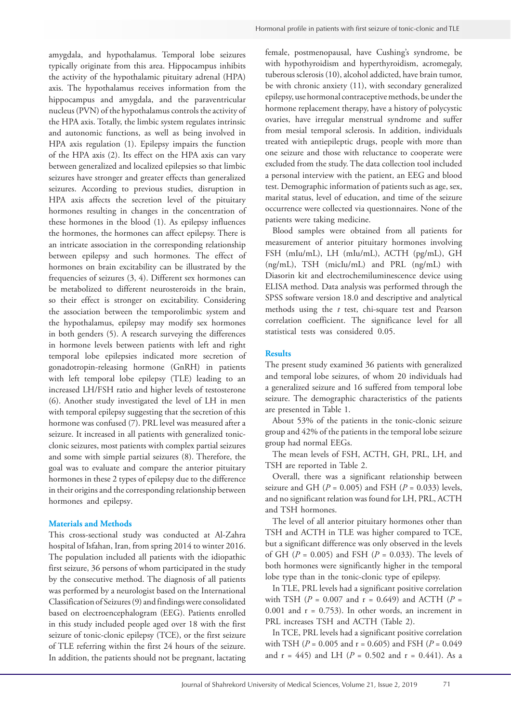amygdala, and hypothalamus. Temporal lobe seizures typically originate from this area. Hippocampus inhibits the activity of the hypothalamic pituitary adrenal (HPA) female, postmenopausal, have Cushing's syndrome, be

axis. The hypothalamus receives information from the hippocampus and amygdala, and the paraventricular nucleus (PVN) of the hypothalamus controls the activity of the HPA axis. Totally, the limbic system regulates intrinsic and autonomic functions, as well as being involved in HPA axis regulation (1). Epilepsy impairs the function of the HPA axis (2). Its effect on the HPA axis can vary between generalized and localized epilepsies so that limbic seizures have stronger and greater effects than generalized seizures. According to previous studies, disruption in HPA axis affects the secretion level of the pituitary hormones resulting in changes in the concentration of these hormones in the blood (1). As epilepsy influences the hormones, the hormones can affect epilepsy. There is an intricate association in the corresponding relationship between epilepsy and such hormones. The effect of hormones on brain excitability can be illustrated by the frequencies of seizures (3, 4). Different sex hormones can be metabolized to different neurosteroids in the brain, so their effect is stronger on excitability. Considering the association between the temporolimbic system and the hypothalamus, epilepsy may modify sex hormones in both genders (5). A research surveying the differences in hormone levels between patients with left and right temporal lobe epilepsies indicated more secretion of gonadotropin-releasing hormone (GnRH) in patients with left temporal lobe epilepsy (TLE) leading to an increased LH/FSH ratio and higher levels of testosterone (6). Another study investigated the level of LH in men with temporal epilepsy suggesting that the secretion of this hormone was confused (7). PRL level was measured after a seizure. It increased in all patients with generalized tonicclonic seizures, most patients with complex partial seizures and some with simple partial seizures (8). Therefore, the goal was to evaluate and compare the anterior pituitary hormones in these 2 types of epilepsy due to the difference in their origins and the corresponding relationship between hormones and epilepsy.

# **Materials and Methods**

This cross-sectional study was conducted at Al-Zahra hospital of Isfahan, Iran, from spring 2014 to winter 2016. The population included all patients with the idiopathic first seizure, 36 persons of whom participated in the study by the consecutive method. The diagnosis of all patients was performed by a neurologist based on the International Classification of Seizures (9) and findings were consolidated based on electroencephalogram (EEG). Patients enrolled in this study included people aged over 18 with the first seizure of tonic-clonic epilepsy (TCE), or the first seizure of TLE referring within the first 24 hours of the seizure. In addition, the patients should not be pregnant, lactating with hypothyroidism and hyperthyroidism, acromegaly, tuberous sclerosis (10), alcohol addicted, have brain tumor, be with chronic anxiety (11), with secondary generalized epilepsy, use hormonal contraceptive methods, be under the hormone replacement therapy, have a history of polycystic ovaries, have irregular menstrual syndrome and suffer from mesial temporal sclerosis. In addition, individuals treated with antiepileptic drugs, people with more than one seizure and those with reluctance to cooperate were excluded from the study. The data collection tool included a personal interview with the patient, an EEG and blood test. Demographic information of patients such as age, sex, marital status, level of education, and time of the seizure occurrence were collected via questionnaires. None of the patients were taking medicine.

Blood samples were obtained from all patients for measurement of anterior pituitary hormones involving FSH (mIu/mL), LH (mIu/mL), ACTH (pg/mL), GH (ng/mL), TSH (micIu/mL) and PRL (ng/mL) with Diasorin kit and electrochemiluminescence device using ELISA method. Data analysis was performed through the SPSS software version 18.0 and descriptive and analytical methods using the *t* test, chi-square test and Pearson correlation coefficient. The significance level for all statistical tests was considered 0.05.

# **Results**

The present study examined 36 patients with generalized and temporal lobe seizures, of whom 20 individuals had a generalized seizure and 16 suffered from temporal lobe seizure. The demographic characteristics of the patients are presented in Table 1.

About 53% of the patients in the tonic-clonic seizure group and 42% of the patients in the temporal lobe seizure group had normal EEGs.

The mean levels of FSH, ACTH, GH, PRL, LH, and TSH are reported in Table 2.

Overall, there was a significant relationship between seizure and GH ( $P = 0.005$ ) and FSH ( $P = 0.033$ ) levels, and no significant relation was found for LH, PRL, ACTH and TSH hormones.

The level of all anterior pituitary hormones other than TSH and ACTH in TLE was higher compared to TCE, but a significant difference was only observed in the levels of GH (*P* = 0.005) and FSH (*P* = 0.033). The levels of both hormones were significantly higher in the temporal lobe type than in the tonic-clonic type of epilepsy.

In TLE, PRL levels had a significant positive correlation with TSH ( $P = 0.007$  and  $r = 0.649$ ) and ACTH ( $P =$ 0.001 and  $r = 0.753$ ). In other words, an increment in PRL increases TSH and ACTH (Table 2).

In TCE, PRL levels had a significant positive correlation with TSH (*P* = 0.005 and r = 0.605) and FSH (*P* = 0.049 and  $r = 445$ ) and LH ( $P = 0.502$  and  $r = 0.441$ ). As a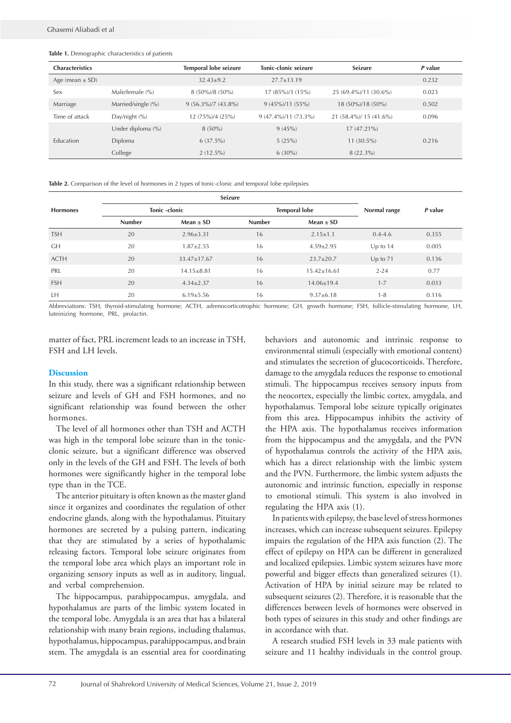#### **Table 1.** Demographic characteristics of patients

| <b>Characteristics</b> |                    | Temporal lobe seizure  | Tonic-clonic seizure   | <b>Seizure</b>         | P value |
|------------------------|--------------------|------------------------|------------------------|------------------------|---------|
| Age (mean $\pm$ SD)    |                    | $32.43 \pm 9.2$        | $27.7 + 13.19$         |                        | 0.232   |
| Sex                    | Male/female (%)    | $8(50\%)/8(50\%)$      | $17(85\%)/3(15\%)$     | 25 (69.4%)/11 (30.6%)  | 0.023   |
| Marriage               | Married/single (%) | $9(56.3\%)$ /7 (43.8%) | $9(45\%)/11(55\%)$     | 18 (50%)/18 (50%)      | 0.502   |
| Time of attack         | Day/night (%)      | 12 (75%)/4 (25%)       | $9(47.4\%)/11(73.3\%)$ | 21 (58.4%)/ 15 (41.6%) | 0.096   |
|                        | Under diploma (%)  | $8(50\%)$              | 9(45%)                 | $17(47.21\%)$          |         |
| <b>Education</b>       | Diploma            | $6(37.5\%)$            | 5(25%)                 | $11(30.5\%)$           | 0.216   |
|                        | College            | $2(12.5\%)$            | $6(30\%)$              | $8(22.3\%)$            |         |

**Table 2.** Comparison of the level of hormones in 2 types of tonic-clonic and temporal lobe epilepsies

|                 |               | Seizure           |               |                      |              |         |
|-----------------|---------------|-------------------|---------------|----------------------|--------------|---------|
| <b>Hormones</b> | Tonic -clonic |                   |               | <b>Temporal lobe</b> |              | P value |
|                 | <b>Number</b> | $Mean \pm SD$     | <b>Number</b> | $Mean \pm SD$        |              |         |
| <b>TSH</b>      | 20            | $2.96 \pm 3.31$   | 16            | $2.15 \pm 1.1$       | $0.4 - 4.6$  | 0.355   |
| <b>GH</b>       | 20            | $1.87 \pm 2.55$   | 16            | $4.59 \pm 2.95$      | Up to $14$   | 0.005   |
| <b>ACTH</b>     | 20            | $33.47 \pm 17.67$ | 16            | $23.7 \pm 20.7$      | $Up$ to $71$ | 0.136   |
| PRL             | 20            | $14.15 \pm 8.81$  | 16            | $15.42 \pm 16.61$    | $2 - 24$     | 0.77    |
| <b>FSH</b>      | 20            | $4.34 \pm 2.37$   | 16            | $14.06 \pm 19.4$     | $1 - 7$      | 0.033   |
| LH              | 20            | $6.19 \pm 5.56$   | 16            | $9.37 \pm 6.18$      | $1 - 8$      | 0.116   |

Abbreviations: TSH, thyroid-stimulating hormone; ACTH, adrenocorticotrophic hormone; GH, growth hormone; FSH, follicle-stimulating hormone, LH, luteinizing hormone, PRL, prolactin.

matter of fact, PRL increment leads to an increase in TSH, FSH and LH levels.

## **Discussion**

In this study, there was a significant relationship between seizure and levels of GH and FSH hormones, and no significant relationship was found between the other hormones.

The level of all hormones other than TSH and ACTH was high in the temporal lobe seizure than in the tonicclonic seizure, but a significant difference was observed only in the levels of the GH and FSH. The levels of both hormones were significantly higher in the temporal lobe type than in the TCE.

The anterior pituitary is often known as the master gland since it organizes and coordinates the regulation of other endocrine glands, along with the hypothalamus. Pituitary hormones are secreted by a pulsing pattern, indicating that they are stimulated by a series of hypothalamic releasing factors. Temporal lobe seizure originates from the temporal lobe area which plays an important role in organizing sensory inputs as well as in auditory, lingual, and verbal comprehension.

The hippocampus, parahippocampus, amygdala, and hypothalamus are parts of the limbic system located in the temporal lobe. Amygdala is an area that has a bilateral relationship with many brain regions, including thalamus, hypothalamus, hippocampus, parahippocampus, and brain stem. The amygdala is an essential area for coordinating

behaviors and autonomic and intrinsic response to environmental stimuli (especially with emotional content) and stimulates the secretion of glucocorticoids. Therefore, damage to the amygdala reduces the response to emotional stimuli. The hippocampus receives sensory inputs from the neocortex, especially the limbic cortex, amygdala, and hypothalamus. Temporal lobe seizure typically originates from this area. Hippocampus inhibits the activity of the HPA axis. The hypothalamus receives information from the hippocampus and the amygdala, and the PVN of hypothalamus controls the activity of the HPA axis, which has a direct relationship with the limbic system and the PVN. Furthermore, the limbic system adjusts the autonomic and intrinsic function, especially in response to emotional stimuli. This system is also involved in regulating the HPA axis (1).

In patients with epilepsy, the base level of stress hormones increases, which can increase subsequent seizures. Epilepsy impairs the regulation of the HPA axis function (2). The effect of epilepsy on HPA can be different in generalized and localized epilepsies. Limbic system seizures have more powerful and bigger effects than generalized seizures (1). Activation of HPA by initial seizure may be related to subsequent seizures (2). Therefore, it is reasonable that the differences between levels of hormones were observed in both types of seizures in this study and other findings are in accordance with that.

A research studied FSH levels in 33 male patients with seizure and 11 healthy individuals in the control group.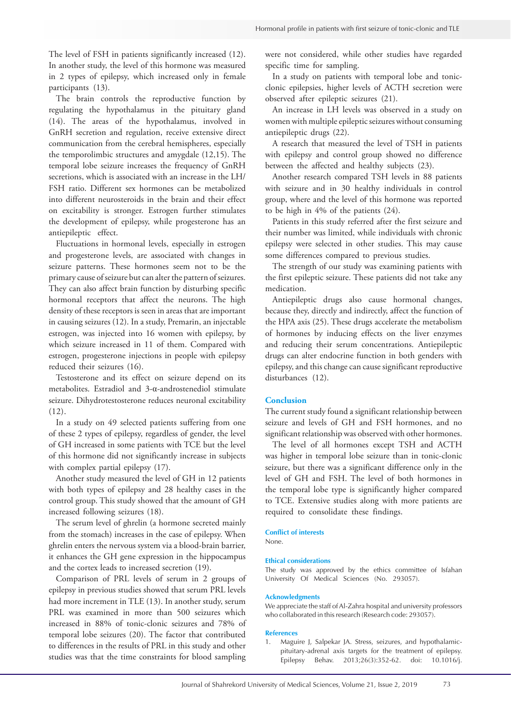The level of FSH in patients significantly increased (12). In another study, the level of this hormone was measured in 2 types of epilepsy, which increased only in female participants (13).

The brain controls the reproductive function by regulating the hypothalamus in the pituitary gland (14). The areas of the hypothalamus, involved in GnRH secretion and regulation, receive extensive direct communication from the cerebral hemispheres, especially the temporolimbic structures and amygdale (12,15). The temporal lobe seizure increases the frequency of GnRH secretions, which is associated with an increase in the LH/ FSH ratio. Different sex hormones can be metabolized into different neurosteroids in the brain and their effect on excitability is stronger. Estrogen further stimulates the development of epilepsy, while progesterone has an antiepileptic effect.

Fluctuations in hormonal levels, especially in estrogen and progesterone levels, are associated with changes in seizure patterns. These hormones seem not to be the primary cause of seizure but can alter the pattern of seizures. They can also affect brain function by disturbing specific hormonal receptors that affect the neurons. The high density of these receptors is seen in areas that are important in causing seizures (12). In a study, Premarin, an injectable estrogen, was injected into 16 women with epilepsy, by which seizure increased in 11 of them. Compared with estrogen, progesterone injections in people with epilepsy reduced their seizures (16).

Testosterone and its effect on seizure depend on its metabolites. Estradiol and 3-α-androstenediol stimulate seizure. Dihydrotestosterone reduces neuronal excitability (12).

In a study on 49 selected patients suffering from one of these 2 types of epilepsy, regardless of gender, the level of GH increased in some patients with TCE but the level of this hormone did not significantly increase in subjects with complex partial epilepsy  $(17)$ .

Another study measured the level of GH in 12 patients with both types of epilepsy and 28 healthy cases in the control group. This study showed that the amount of GH increased following seizures (18).

The serum level of ghrelin (a hormone secreted mainly from the stomach) increases in the case of epilepsy. When ghrelin enters the nervous system via a blood-brain barrier, it enhances the GH gene expression in the hippocampus and the cortex leads to increased secretion (19).

Comparison of PRL levels of serum in 2 groups of epilepsy in previous studies showed that serum PRL levels had more increment in TLE (13). In another study, serum PRL was examined in more than 500 seizures which increased in 88% of tonic-clonic seizures and 78% of temporal lobe seizures (20). The factor that contributed to differences in the results of PRL in this study and other studies was that the time constraints for blood sampling

were not considered, while other studies have regarded specific time for sampling.

In a study on patients with temporal lobe and tonicclonic epilepsies, higher levels of ACTH secretion were observed after epileptic seizures (21).

An increase in LH levels was observed in a study on women with multiple epileptic seizures without consuming antiepileptic drugs (22).

A research that measured the level of TSH in patients with epilepsy and control group showed no difference between the affected and healthy subjects (23).

Another research compared TSH levels in 88 patients with seizure and in 30 healthy individuals in control group, where and the level of this hormone was reported to be high in 4% of the patients (24).

Patients in this study referred after the first seizure and their number was limited, while individuals with chronic epilepsy were selected in other studies. This may cause some differences compared to previous studies.

The strength of our study was examining patients with the first epileptic seizure. These patients did not take any medication.

Antiepileptic drugs also cause hormonal changes, because they, directly and indirectly, affect the function of the HPA axis (25). These drugs accelerate the metabolism of hormones by inducing effects on the liver enzymes and reducing their serum concentrations. Antiepileptic drugs can alter endocrine function in both genders with epilepsy, and this change can cause significant reproductive disturbances (12).

## **Conclusion**

The current study found a significant relationship between seizure and levels of GH and FSH hormones, and no significant relationship was observed with other hormones.

The level of all hormones except TSH and ACTH was higher in temporal lobe seizure than in tonic-clonic seizure, but there was a significant difference only in the level of GH and FSH. The level of both hormones in the temporal lobe type is significantly higher compared to TCE. Extensive studies along with more patients are required to consolidate these findings.

**Conflict of interests**  None.

#### **Ethical considerations**

The study was approved by the ethics committee of Isfahan University Of Medical Sciences (No. 293057).

#### **Acknowledgments**

We appreciate the staff of Al-Zahra hospital and university professors who collaborated in this research (Research code: 293057).

#### **References**

1. Maguire J, Salpekar JA. Stress, seizures, and hypothalamicpituitary-adrenal axis targets for the treatment of epilepsy. Epilepsy Behav. 2013;26(3):352-62. doi: 10.1016/j.